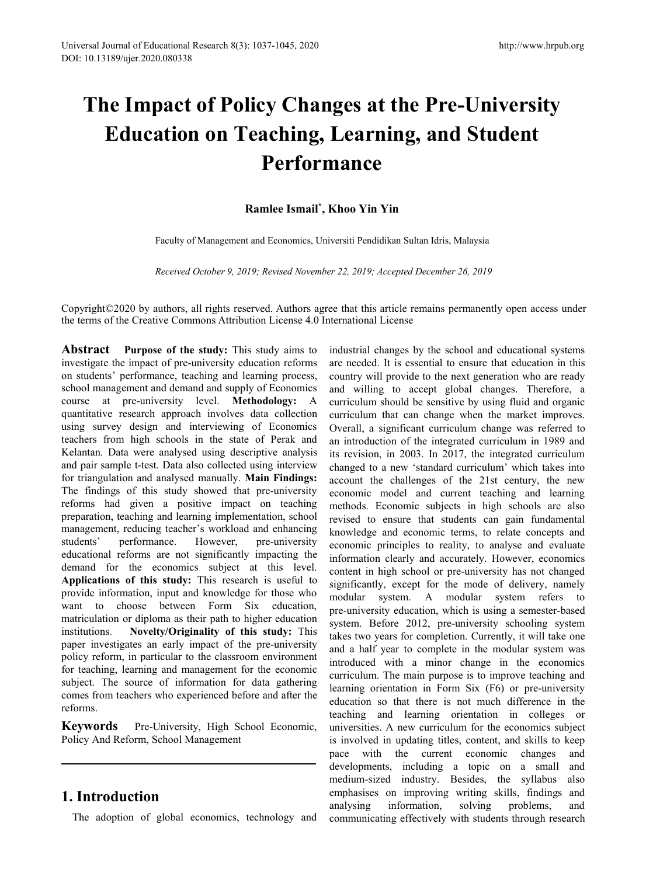# Ersal Journal of Educational Research 8(3): 1037-1045, 2020<br>
10.13189/ujer.2020.080338<br> **The Impact of Policy Changes at the Pre-University**<br> **Education on Teaching, Learning, and Student<br>
Performance**<br>
Ramlee Ismail<sup>\*</sup>. K Figues 2020.080338<br> **Education on Teaching, Learning, and Student<br>
<b>Education on Teaching, Learning, and Student**<br> **Education on Teaching, Learning, and Student**<br> **Performance**<br>
Rambee Ismail<sup>\*</sup>, Khoo Yin Yin **Performance Ramandon Strain Set 2020<br>
<b>Ramlee Ismail<sup>\*</sup>, Khoo Yin Yin**<br> **Ramlee Ismail<sup>\*</sup>, Khoo Yin Yin**<br> **Ramlee Ismail<sup>\*</sup>, Khoo Yin Yin**<br> **Ramlee Ismail<sup>\*</sup>, Khoo Yin Yin**<br> **Ramlee Ismail<sup>\*</sup>, Khoo Yin Yin**<br> **Ramlee Ismail<sup>\*</sup>, Univer** http://www.hrput<br> **nges at the Pre-University**<br> **, Learning, and Student<br>
mance**<br>
, Khoo Yin Yin<br>
Iniversiti Pendidikan Sultan Idris, Malaysia pact of Policy Changes at the Pre-University<br>ation on Teaching, Learning, and Student<br>Performance<br>Ramlee Ismail<sup>\*</sup>, Khoo Yin Yin<br>Faculty of Management and Economics, Universiti Pendidikan Sultan Idris, Malaysia<br>Received Oc **Received October 9, 2019; Revised November 22, 2019; Accepted December 26, 2019<br>
Received October 9, 2019; Revised November 22, 2019; Accepted December 26, 2019<br>
Received October 9, 2019; Revised November 22, 2019; Accept Performance**<br>
Ramlee Ismail<sup>\*</sup>, Khoo Yin Yin<br>
Faculty of Management and Economics, Universiti Pendidikan Sultan Idris, Malaysia<br> *Received October 9, 2019; Revised November 22, 2019; Accepted December 26, 2019*<br>
Copyrigh

**PETTOTMANCE**<br> **Ramlee Ismail<sup>\*</sup>, Khoo Yin Yin**<br>
Faculty of Management and Economics, Universiti Pendidikan Sultan Idris, Malaysia<br> *Received October 9, 2019; Revised November 22, 2019; Accepted December 26, 2019*<br>
Copyrig

**Abstract Purpose of the study:** This study are negative of Newsletting and Economic Mathematic Bureau *Received October 9, 2019; Revised November 22, 2019; Accepted December 26, 2*<br>Copyright©2020 by authors, all rights **Examber Samali<sup>\*</sup>, Khoo Yin Yin**<br>
Faculty of Management and Economics, Universiti Pendidikan Sultan Idris,<br> *Received October 9, 2019; Revised November 22, 2019; Accepted Decembe*<br>
Copyright©2020 by authors, all rights re Faculty of Management and Economics, Universiti Pendidikan Sultan Idris<br>
Received October 9, 2019; Revised November 22, 2019; Accepted December<br>
Copyright©2020 by authors, all rights reserved. Authors agree that this artic Faculty of Management and Economics, Universiti Pendidikan Sultan Ic<br> *Received October 9, 2019; Revised November 22, 2019; Accepted Dece*.<br> **Copyright©2020** by authors, all rights reserved. Authors agree that this article Faculty of Management and Economics, Universiti Pendialkan Sultan Idris, Management Accord Crobber 9, 2019; Revised November 22, 2019; Accepted December 20, Copyright©2020 by authors, all rights reserved. Authors agree tha Received October 9, 2019; Revised November 22, 2019; Accepted Decem<br>Copyright©2020 by authors, all rights reserved. Authors agree that this article remains<br>the terms of the Creative Commons Attribution License 4.0 Internat Received October 9, 2019; Revised November 22, 2019; Accepted Dece.<br>Copyright©2020 by authors, all rights reserved. Authors agree that this article remain<br>the terms of the Creative Commons Attribution License 4.0 Internati Copyright©2020 by authors, all rights reserved. Authors agree that this article remains perm<br>the terms of the Creative Commons Attribution License 4.0 International License<br>**Abstract Purpose of the study:** This study aims Copyright©2020 by authors, all rights reserved. Authors agree that this article remains the terms of the Creative Commons Attribution License 4.0 International License<br> **Abstract** Purpose of the study: This study aims to i Copyright ( $\degree$ 2020 by authors, all rights reserved. Authors agree that this article remains per<br>the terms of the Creative Commons Attribution License 4.0 International License<br>investigate the impact of pre-university edu the terms of the Creative Commons Attribution License 4.0 International License<br> **Abstract** Purpose of the study: This study aims to industrial changes by the<br>
investigate the impact of pre-university education reforms are **Abstract Purpose of the study:** This study aims to industrial changes by investigate the impact of pre-university education reforms are needed. It is essee on students' performance, teaching and learning process, countr **Abstract Purpose of the study:** This study aims to industrial changes by the investigate the impact of pre-university education reforms are needed. It is essential on students' performance, teaching and learning process investigate the impact of pre-university education reforms are needed. It is essential to on students' performance, teaching and learning process, country will provide to the neshool management and demand and supply of Eco on students' performance, teaching and learning process, country will provide to the school management and demand and supply of Economics and willing to accept course at pre-university level. **Methodology:** A curriculum sh school management and demand and supply of Economics and willing to accourse at pre-university level. **Methodology:** A curriculum should be quantitative research approach involves data collection curriculum that can using course at pre-university level. **Methodology:** A curriculum should be sensitive t<br>quantitative research approach involves data collection curriculum that can change wh<br>using survey design and interviewing of Economics Over quantitative research approach involves data collection curriculum that can change<br>using survey design and interviewing of Economics Overall, a significant curricul<br>teachers from high schools in the state of Perak and an i using survey design and interviewing of Economics Overall, a significant curriculum<br>teachers from high schools in the state of Perak and an introduction of the integrated<br>Kelantan. Data were analysed using descriptive anal teachers from high schools in the state of Perak and an introduction of the integrat<br>Kelantan. Data were analysed using descriptive analysis its revision, in 2003. In 2017,<br>and pair sample t-test. Data also collected using Kelantan. Data were analysed using descriptive analysis in revision, in 2003. In<br>and pair sample t-test. Data also collected using interview changed to a new 'stand<br>for triangulation and analysed manually. **Main Findings:** and pair sample t-test. Data also collected using interview<br>
for triangulation and analysed manually. **Main Findings:**<br>
account the challenges<br>
The findings of this study showed that pre-university<br>
preparation, techning a for triangulation and analysed manually. **Main Findings:** account the challenge<br>The findings of this study showed that pre-university economic model and<br>reforms had given a positive impact on teaching methods. Economic s<br>p The findings of this study showed that pre-university<br>
reforms had given a positive impact on teaching methods. Economic model are<br>
preparation, teaching and learning implementation, school revised to ensure the<br>
managemen reforms had given a positive impact on teaching methods. Economic interpretation, teaching and learning implementation, school revised to ensure the management, reducing teacher's workload and enhancing knowledge and econo preparation, teaching and learning implementation, school revised to ensure that management, reducing teacher's workload and enhancing knowledge and economic students' performance. However, pre-university economic principl management, reducing teacher's workload and enhancing knowledge and economic<br>students' performance. However, pre-university economic principles to reducational reforms are not significantly impacting the information clearl students' performance. However, pre-university acconomic extinted experiments educational reforms are not significantly impacting the information clearly ad accurat demand for the economics subject at this level. Content i reforms. demand for the economics subject at this level.<br> **Applications of this study:** This research is useful to significantly, except for<br>
provide information, input and knowledge for those who<br>
want to choose between Form Six e **Applications of this study:** This research is useful to signify provide information, input and knowledge for those who modu want to choose between Form Six education, meantriculation or diploma as their path to higher edu demiand for the economics subject at this level.<br>Applications of this study: This research is useful to<br>provide information, input and knowledge for those who<br>want to choose between Form Six education,<br>matriculation or dip

Intervaling, learning and management for the conomic introduced with a minor cheching, learning orientation in Form sections for the conomic of the conomic defore and after the education so that there is no teaming orienta **Khoo Yin Yin**<br>
iversiti Pendidikan Sultan Idris, Malaysia<br> *er 22, 2019; Accepted December 26, 2019*<br>
ee that this article remains permanently open access under<br>
industrial changes by the school and educational systems<br> **Khoo Yin Yin**<br>
iversiti Pendidikan Sultan Idris, Malaysia<br>  $2r$  22, 2019; Accepted December 26, 2019<br>
ee that this article remains permanently open access under<br>
industrial changes by the school and educational systems<br> iversiti Pendidikan Sultan Idris, Malaysia<br>
er 22, 2019; Accepted December 26, 2019<br>
ee that this article remains permanently open access under<br>
ternational License<br>
industrial changes by the school and educational systems iversiti Pendidikan Sultan Idris, Malaysia<br>
are 22, 2019; Accepted December 26, 2019<br>
ee that this article remains permanently open access under<br>
industrial changes by the school and educational systems<br>
are needed. It is existin Pendidikal Sultan Idits, Malaysia<br>
exerced December 26, 2019<br>
exerced that this article remains permanently open access under<br>
industrial changes by the school and educational systems<br>
are needed. It is essential t er 22, 2019; *Accepted December 26, 2019*<br>ee that this article remains permanently open access under<br>ternational License<br>industrial changes by the school and educational systems<br>are needed. It is essential to ensure that e 22, 2019; Accepted December 26, 2019<br>
ee that this article remains permanently open access under<br>
industrial changes by the school and educational systems<br>
are needed. It is essential to ensure that education in this<br>
coun be that this article remains permanently open access under<br>
industrial changes by the school and educational systems<br>
are needed. It is essential to ensure that education in this<br>
country will provide to the next generatio ee that this article remains permanently open access under<br>ternational License<br>industrial changes by the school and educational systems<br>are needed. It is essential to ensure that education in this<br>country will provide to t e that this article remains permanently open access under<br>ternational License<br>industrial changes by the school and educational systems<br>are needed. It is essential to ensure that education in this<br>country will provide to th industrial changes by the school and educational systems<br>are needed. It is essential to ensure that education in this<br>country will provide to the next generation who are ready<br>and willing to accept global changes. Therefor industrial changes by the school and educational systems<br>are needed. It is essential to ensure that education in this<br>country will provide to the next generation who are ready<br>and willing to accept global changes. Therefor industrial changes by the school and educational systems<br>are needed. It is essential to ensure that education in this<br>country will provide to the next generation who are ready<br>and willing to accept global changes. Therefor are needed. It is essential to ensure that education in this<br>country will provide to the next generation who are ready<br>and willing to accept global changes. Therefore, a<br>curriculum should be sensitive by using fluid and or country will provide to the next generation who are ready<br>and willing to accept global changes. Therefore, a<br>curriculum should be sensitive by using fluid and organic<br>curriculum that can change when the market improves.<br>Ov and willing to accept global changes. Therefore, a<br>curriculum should be sensitive by using fluid and organic<br>curriculum that can change when the market improves.<br>Overall, a significant curriculum change was referred to<br>an curriculum should be sensitive by using fluid and organic<br>curriculum that can change when the market improves.<br>Overall, a significant curriculum change was referred to<br>an introduction of the integrated curriculum in 1989 a contriculum that can change when the market improves.<br>Overall, a significant curriculum change was referred to<br>an introduction of the integrated curriculum in 1989 and<br>its revision, in 2003. In 2017, the integrated curricu Overall, a significant curriculum change was referred to<br>an introduction of the integrated curriculum in 1989 and<br>its revision, in 2003. In 2017, the integrated curriculum<br>changed to a new 'standard curriculum' which takes an introduction of the integrated curriculum in 1989 and<br>its revision, in 2003. In 2017, the integrated curriculum<br>changed to a new 'standard curriculum' which takes into<br>account the challenges of the 21st century, the new its revision, in 2003. In 2017, the integrated curriculum<br>changed to a new 'standard curriculum' which takes into<br>account the challenges of the 21st century, the new<br>economic model and current teaching and learning<br>methods changed to a new 'standard curriculum' which takes into<br>account the challenges of the 21st century, the new<br>economic model and current teaching and learning<br>methods. Economic subjects in high schools are also<br>revised to en account the challenges of the 21st century, the new<br>economic model and current teaching and learning<br>methods. Economic subjects in high schools are also<br>revised to ensure that students can gain fundamental<br>knowledge and ec economic model and current teaching and learning<br>methods. Economic subjects in high schools are also<br>revised to ensure that students can gain fundamental<br>knowledge and economic terms, to relate concepts and<br>economic princi methods. Economic subjects in high schools are also<br>revised to ensure that students can gain fundamental<br>knowledge and economic terms, to relate concepts and<br>economic principles to reality, to analyse and evaluate<br>informat revised to ensure that students can gain fundamental<br>knowledge and economic terms, to relate concepts and<br>economic principles to reality, to analyse and evaluate<br>information clearly and accurately. However, economics<br>conte knowledge and economic terms, to relate concepts and<br>economic principles to reality, to analyse and evaluate<br>information clearly and accurately. However, economics<br>content in high school or pre-university has not changed<br>s economic principles to reality, to analyse and evaluate<br>information clearly and accurately. However, economics<br>content in high school or pre-university has not changed<br>significantly, except for the mode of delivery, namely information clearly and accurately. However, economics<br>content in high school or pre-university has not changed<br>significantly, except for the mode of delivery, namely<br>modular system. A modular system refers to<br>pre-universi content in high school or pre-university has not changed<br>significantly, except for the mode of delivery, namely<br>modular system. A modular system refers to<br>pre-university education, which is using a semester-based<br>system. B significantly, except for the mode of delivery, namely<br>modular system. A modular system refers to<br>pre-university education, which is using a semester-based<br>system. Before 2012, pre-university schooling system<br>takes two yea modular system. A modular system refers to<br>pre-university education, which is using a semester-based<br>system. Before 2012, pre-university schooling system<br>takes two years for completion. Currently, it will take one<br>and a ha pre-university education, which is using a semester-based<br>system. Before 2012, pre-university schooling system<br>takes two years for completion. Currently, it will take one<br>and a half year to complete in the modular system w system. Before 2012, pre-university schooling system<br>takes two years for completion. Currently, it will take one<br>and a half year to complete in the modular system was<br>introduced with a minor change in the economics<br>curricu takes two years for completion. Currently, it will take one<br>and a half year to complete in the modular system was<br>introduced with a minor change in the economics<br>curriculum. The main purpose is to improve teaching and<br>lear and a half year to complete in the modular system was<br>introduced with a minor change in the economics<br>curriculum. The main purpose is to improve teaching and<br>learning orientation in Form Six (F6) or pre-university<br>educatio introduced with a minor change in the economics<br>curriculum. The main purpose is to improve teaching and<br>learning orientation in Form Six (F6) or pre-university<br>education so that there is not much difference in the<br>teaching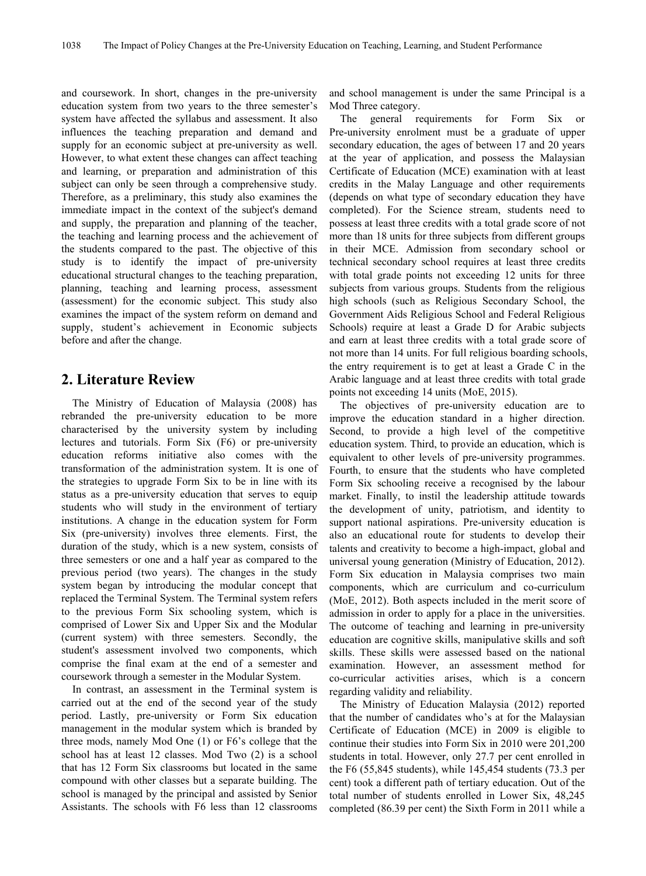and coursework. In short, changes in the pre-university education system from two years to the three semester's system have affected the syllabus and assessment. It also The influences the teaching preparation and demand and supply for an economic subject at pre-university as well. However, to what extent these changes can affect teaching and learning, or preparation and administration of this subject can only be seen through a comprehensive study. Therefore, as a preliminary, this study also examines the immediate impact in the context of the subject's demand and supply, the preparation and planning of the teacher, the teaching and learning process and the achievement of the students compared to the past. The objective of this study is to identify the impact of pre-university educational structural changes to the teaching preparation, planning, teaching and learning process, assessment (assessment) for the economic subject.This study also examines the impact of the system reform on demand and supply, student's achievement in Economic subjects before and after the change.

# **2. Literature Review**

The Ministry of [Education](#page-7-0) of Malaysia (2008) has rebranded the pre-university education to be more characterised by the university system by including lectures and tutorials. Form Six (F6) or pre-university education reforms initiative also comes with the transformation of the administration system. It is one of the strategies to upgrade Form Six to be in line with its status as a pre-university education that serves to equip students who will study in the environment of tertiary institutions. A change in the education system for Form Six (pre-university) involves three elements. First, the duration of the study, which is a new system, consists of three semesters or one and a half year as compared to the previous period (two years). The changes in the study system began by introducing the modular concept that replaced the Terminal System. The Terminal system refers to the previous Form Six schooling system, which is comprised of Lower Six and Upper Six and the Modular (current system) with three semesters. Secondly, the student's assessment involved two components, which comprise the final exam at the end of a semester and coursework through a semester in the Modular System.

In contrast, an assessment in the Terminal system is carried out at the end of the second year of the study period. Lastly, pre-university or Form Six education management in the modular system which is branded by three mods, namely Mod One (1) or F6's college that the school has at least 12 classes. Mod Two (2) is a school that has 12 Form Six classrooms but located in the same compound with other classes but a separate building. The school is managed by the principal and assisted by Senior Assistants. The schools with F6 less than 12 classrooms

and school management is under the same Principal is a Mod Three category.

general requirements for Form Six or Pre-university enrolment must be a graduate of upper secondary education, the ages of between 17 and 20 years at the year of application, and possess the Malaysian Certificate of Education (MCE) examination with at least credits in the Malay Language and other requirements (depends on what type of secondary education they have completed). For the Science stream, students need to possess at least three credits with a total grade score of not more than 18 units for three subjects from different groups in their MCE. Admission from secondary school or technical secondary school requires at least three credits with total grade points not exceeding 12 units for three subjects from various groups. Students from the religious high schools (such as Religious Secondary School, the Government Aids Religious School and Federal Religious Schools) require at least a Grade D for Arabic subjects and earn at least three credits with a total grade score of not more than 14 units. For full religious boarding schools, the entry requirement is to get at least a Grade C in the Arabic language and at least three credits with total grade points not exceeding 14 units (MoE, 2015).

The objectives of pre-university education are to improve the education standard in a higher direction. Second, to provide a high level of the competitive education system. Third, to provide an education, which is equivalent to other levels of pre-university programmes. Fourth, to ensure that the students who have completed Form Six schooling receive a recognised by the labour market. Finally, to instil the leadership attitude towards the development of unity, patriotism, and identity to support national aspirations. Pre-university education is also an educational route for students to develop their talents and creativity to become a high-impact, global and universal young generation (Ministry of Education, 2012). Form Six education in Malaysia comprises two main components, which are curriculum and co-curriculum (MoE, 2012). Both aspects included in the merit score of admission in order to apply for a place in the universities. The outcome of teaching and learning in pre-university education are cognitive skills, manipulative skills and soft skills. These skills were assessed based on the national examination. However, an assessment method for co-curricular activities arises, which is a concern regarding validity and reliability.

The Ministry of Education Malaysia (2012) reported that the number of candidates who's at for the Malaysian Certificate of Education (MCE) in 2009 is eligible to continue their studies into Form Six in 2010 were 201,200 students in total. However, only 27.7 per cent enrolled in the F6 (55,845 students), while 145,454 students (73.3 per cent) took a different path of tertiary education. Out of the total number of students enrolled in Lower Six, 48,245 completed (86.39 per cent) the Sixth Form in 2011 while a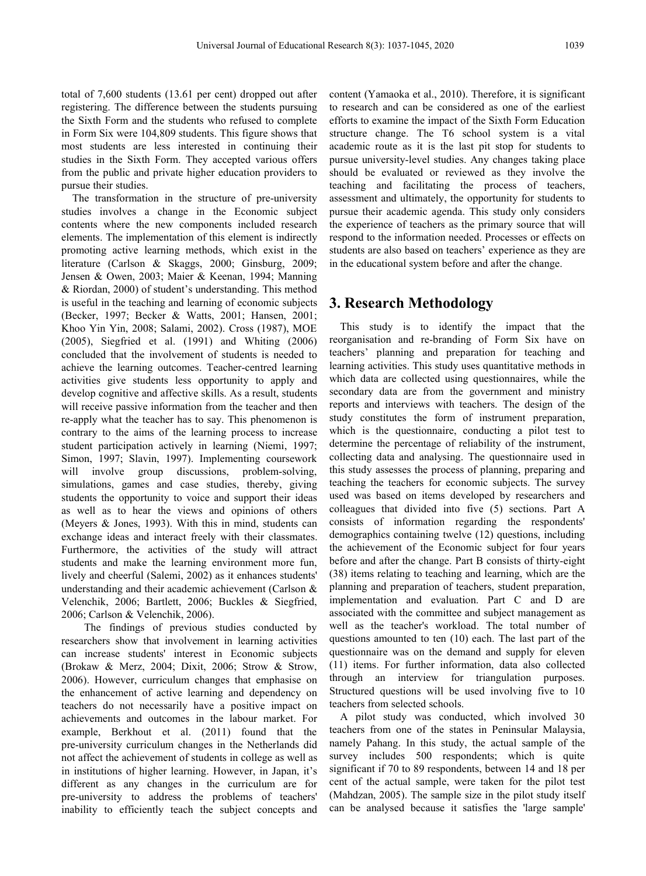total of 7,600 students (13.61 per cent) dropped out after registering. The difference between the students pursuing the Sixth Form and the students who refused to complete in Form Six were 104,809 students. This figure shows that most students are less interested in continuing their studies in the Sixth Form. They accepted various offers from the public and private higher education providers to pursue their studies.

The transformation in the structure of pre-university studies involves a change in the Economic subject contents where the new components included research elements. The implementation of this element is indirectly promoting active learning methods, which exist in the literature (Carlson & [Skaggs,](#page-7-1) 2000; [Ginsburg,](#page-7-2) 2009; Jensen & [Owen,](#page-7-3) 2003; Maier & [Keenan,](#page-7-4) 1994; [Manning](#page-8-0) & Riordan, 2000) of student's understanding. This method is useful in the teaching and learning of economic subjects ([Becker,](#page-7-5) 1997; [Becker](#page-7-6) & Watts, 2001; [Hansen,](#page-7-7) 2001; [Khoo](#page-7-8) Yin Yin, 2008; [Salami,](#page-8-1) 2002). Cross [\(1987\)](#page-7-9), [MOE](#page-7-0) (2005), [Siegfried](#page-8-2) et al. (1991) and [Whiting](#page-8-3) (2006) concluded that the involvement of students is needed to achieve the learning outcomes. Teacher-centred learning activities give students less opportunity to apply and develop cognitive and affective skills. As a result, students will receive passive information from the teacher and then re-apply what the teacher has to say. This phenomenon is contrary to the aims of the learning process to increase student participation actively in learning [\(Niemi,](#page-8-4) 1997; [Simon,](#page-8-5) 1997; [Slavin,](#page-8-6) 1997). Implementing coursework will involve group discussions, problem-solving, simulations, games and case studies, thereby, giving students the opportunity to voice and support their ideas as well as to hear the views and opinions of others [\(Meyers](#page-8-7) & Jones, 1993). With this in mind, students can exchange ideas and interact freely with their classmates. Furthermore, the activities of the study will attract students and make the learning environment more fun, lively and cheerful ([Salemi,](#page-8-1) 2002) as it enhances students' understanding and their academic achievement [\(Carlson](#page-7-10) & Velenchik, 2006; [Bartlett,](#page-7-11) 2006; Buckles & [Siegfried,](#page-7-12) 2006; Carlson & [Velenchik,](#page-7-10) 2006).

The findings of previous studies conducted by researchers show that involvement in learning activities can increase students' interest in Economic subjects ([Brokaw](#page-7-13) & Merz, 2004; [Dixit,](#page-7-14) 2006; Strow & [Strow,](#page-8-8) 2006). However, curriculum changes that emphasise on the enhancement of active learning and dependency on teachers do not necessarily have a positive impact on achievements and outcomes in the labour market. For example, [Berkhout](#page-7-15) et al. (2011) found that the pre-university curriculum changes in the Netherlands did not affect the achievement of students in college as well as in institutions of higher learning. However, in Japan, it's different as any changes in the curriculum are for pre-university to address the problems of teachers' inability to efficiently teach the subject concepts and

content (Yamaoka et al., 2010). Therefore, it is significant to research and can be considered as one of the earliest efforts to examine the impact of the Sixth Form Education structure change. The T6 school system is a vital academic route as it is the last pit stop for students to pursue university-level studies. Any changes taking place should be evaluated or reviewed as they involve the teaching and facilitating the process of teachers, assessment and ultimately, the opportunity for students to pursue their academic agenda. This study only considers the experience of teachers as the primary source that will respond to the information needed. Processes oreffects on students are also based on teachers' experience as they are in the educational system before and after the change.

# **3. Research Methodology**

This study is to identify the impact that the reorganisation and re-branding of Form Six have on teachers' planning and preparation for teaching and learning activities. This study uses quantitative methods in which data are collected using questionnaires, while the secondary data are from the government and ministry reports and interviews with teachers. The design of the study constitutes the form of instrument preparation, which is the questionnaire, conducting a pilot test to determine the percentage of reliability of the instrument, collecting data and analysing. The questionnaire used in this study assesses the process of planning, preparing and teaching the teachers for economic subjects. The survey used was based on items developed by researchers and colleagues that divided into five  $(5)$  sections. Part A consists of information regarding the respondents' demographics containing twelve (12) questions, including the achievement of the Economic subject for four years before and after the change. Part B consists of thirty-eight (38) items relating to teaching and learning, which are the planning and preparation of teachers, student preparation, implementation and evaluation. Part C and D are associated with the committee and subject management as well as the teacher's workload. The total number of questions amounted to ten (10) each. The last part of the questionnaire was on the demand and supply for eleven (11) items. For further information, data also collected through an interview for triangulation purposes. Structured questions will be used involving five to 10 teachers from selected schools.

A pilot study was conducted, which involved 30 teachers from one of the states in Peninsular Malaysia, namely Pahang. In this study, the actual sample of the survey includes 500 respondents; which is quite significant if 70 to 89 respondents, between 14 and 18 per cent of the actual sample, were taken for the pilot test (Mahdzan, 2005). The sample size in the pilot study itself can be analysed because it satisfies the 'large sample'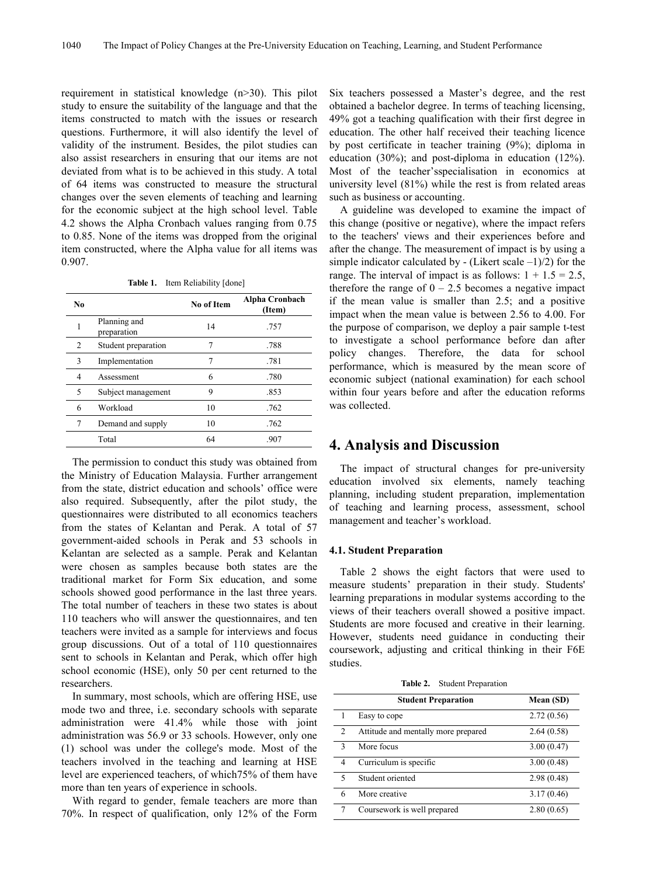requirement in statistical knowledge (n>30). This pilot study to ensure the suitability of the language and that the items constructed to match with the issues or research questions. Furthermore, it will also identify the level of validity of the instrument. Besides, the pilot studies can also assist researchers in ensuring that our items are not deviated from what is to be achieved in this study. A total of 64 items was constructed to measure the structural changes over the seven elements of teaching and learning for the economic subject at the high school level. Table 4.2 shows the Alpha Cronbach values ranging from 0.75 to 0.85. None of the items was dropped from the original item constructed, where the Alpha value for all items was 0.907.

**Table 1.** Item Reliability [done]

| No. |                             | No of Item | <b>Alpha Cronbach</b><br>(Item) | if the m<br>impact w |
|-----|-----------------------------|------------|---------------------------------|----------------------|
|     | Planning and<br>preparation | 14         | .757                            | the purpo            |
| 2   | Student preparation         | 7          | .788                            | to inves             |
| 3   | Implementation              |            | .781                            | policy<br>performa   |
| 4   | Assessment                  | 6          | .780                            | economi              |
| 5   | Subject management          | 9          | .853                            | within fo            |
| 6   | Workload                    | 10         | .762                            | was colle            |
| 7   | Demand and supply           | 10         | .762                            |                      |
|     | Total                       | 64         | .907                            |                      |
|     |                             |            |                                 |                      |

The permission to conduct this study was obtained from the Ministry of Education Malaysia. Further arrangement from the state, district education and schools' office were also required. Subsequently, after the pilot study, the questionnaires were distributed to all economics teachers from the states of Kelantan and Perak. A total of 57 government-aided schools in Perak and 53 schools in Kelantan are selected as a sample. Perak and Kelantan were chosen as samples because both states are the traditional market for Form Six education, and some schools showed good performance in the last three years. The total number of teachers in these two states is about 110 teachers who will answer the questionnaires, and ten teachers were invited as a sample for interviews and focus group discussions. Out of a total of 110 questionnaires sent to schools in Kelantan and Perak, which offer high school economic (HSE), only 50 per cent returned to the researchers.

In summary, most schools, which are offering HSE, use mode two and three, i.e. secondary schools with separate administration were 41.4% while those with joint administration was 56.9 or 33 schools. However, only one (1) school was under the college's mode. Most of the teachers involved in the teaching and learning at HSE level are experienced teachers, of which75% of them have more than ten years of experience in schools.

With regard to gender, female teachers are more than 70%. In respect of qualification, only 12% of the Form Six teachers possessed a Master's degree, and the rest obtained a bachelor degree. In terms of teaching licensing, 49% got a teaching qualification with their first degree in education. The other half received their teaching licence by post certificate in teacher training (9%); diploma in education (30%); and post-diploma in education (12%). Most of the teacher'sspecialisation in economics at university level (81%) while the rest is from related areas such as business or accounting.

**Alpha Cronbach** if the mean value is smaller than 2.5; and a positive **(Item)** impact when the mean value is between 2.56 to 4.00. For 14 .757 the purpose of comparison, we deploy a pair sample t-test 4 Assessment 6 .780 economic subject (national examination) for each school 5 Subject management 9 .853 within four years before and after the education reforms A guideline was developed to examine the impact of this change (positive or negative), where the impact refers to the teachers' views and their experiences before and after the change. The measurement of impact is by using a simple indicator calculated by  $-$  (Likert scale  $-1/2$ ) for the range. The interval of impact is as follows:  $1 + 1.5 = 2.5$ , therefore the range of  $0 - 2.5$  becomes a negative impact to investigate a school performance before dan after policy changes. Therefore, the data for school performance, which is measured by the mean score of was collected.

# **4. Analysis and Discussion**

The impact of structural changes for pre-university education involved six elements, namely teaching planning, including student preparation, implementation of teaching and learning process, assessment, school management and teacher's workload.

## **4.1. Student Preparation**

Table 2 shows the eight factors that were used to measure students' preparation in their study. Students' learning preparations in modular systems according to the views of their teachers overall showed a positive impact. Students are more focused and creative in their learning. However, students need guidance in conducting their coursework, adjusting and critical thinking in their F6E studies.

|  | <b>Table 2.</b> Student Preparation |  |
|--|-------------------------------------|--|
|--|-------------------------------------|--|

|                | <b>Student Preparation</b>          | Mean (SD)  |
|----------------|-------------------------------------|------------|
|                | Easy to cope                        | 2.72(0.56) |
| $\overline{c}$ | Attitude and mentally more prepared | 2.64(0.58) |
| 3              | More focus                          | 3.00(0.47) |
| 4              | Curriculum is specific              | 3.00(0.48) |
| $\varsigma$    | Student oriented                    | 2.98(0.48) |
| 6              | More creative                       | 3.17(0.46) |
| 7              | Coursework is well prepared         | 2.80(0.65) |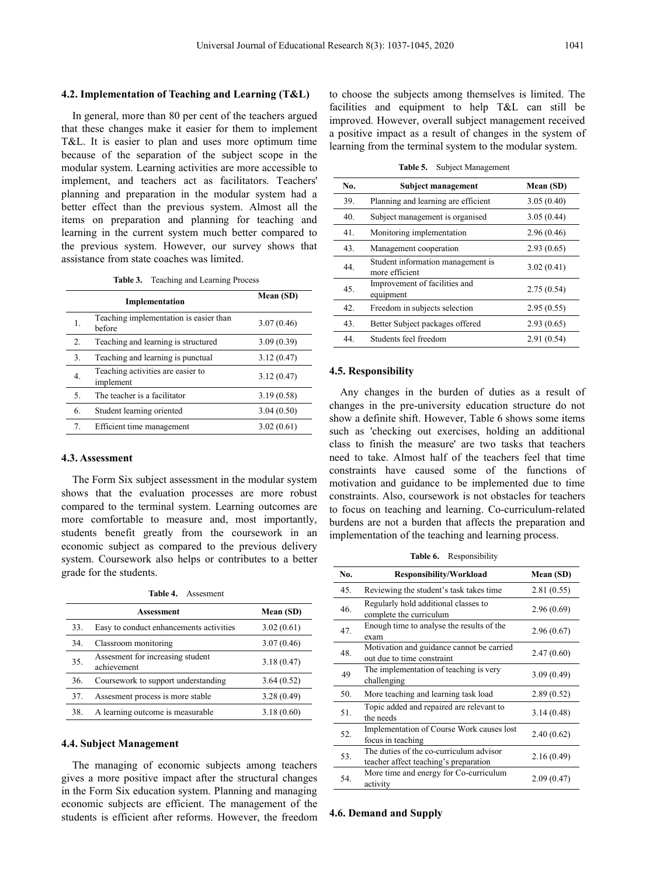#### **4.2. Implementation of Teaching and Learning (T&L)**

In general, more than 80 per cent of the teachers argued that these changes make it easier for them to implement T&L. It is easier to plan and uses more optimum time because of the separation of the subject scope in the modular system. Learning activities are more accessible to implement, and teachers act as facilitators. Teachers' planning and preparation in the modular system had a better effect than the previous system. Almost all the items on preparation and planning for teaching and learning in the current system much better compared to the previous system. However, our survey shows that assistance from state coaches was limited.

**Table 3.** Teaching and Learning Process

|    |                                                  | Mean (SD)  | 49.<br>equipment                                                                        |
|----|--------------------------------------------------|------------|-----------------------------------------------------------------------------------------|
|    | Implementation                                   |            | Freedom in subjects selection<br>42.                                                    |
| 1. | Teaching implementation is easier than<br>before | 3.07(0.46) | Better Subject packages offered<br>43.                                                  |
|    | Teaching and learning is structured              | 3.09(0.39) | Students feel freedom<br>44.                                                            |
| 3. | Teaching and learning is punctual                | 3.12(0.47) |                                                                                         |
| 4. | Teaching activities are easier to<br>implement   | 3.12(0.47) | 4.5. Responsibility                                                                     |
|    | The teacher is a facilitator                     | 3.19(0.58) | Any changes in the burden of duties                                                     |
| 6. | Student learning oriented                        | 3.04(0.50) | changes in the pre-university education s<br>show a definite shift. However, Table 6 sh |
| 7. | Efficient time management                        | 3.02(0.61) | such as 'checking out exercises, holding                                                |
|    |                                                  |            |                                                                                         |

## **4.3. Assessment**

The Form Six subject assessment in the modular system shows that the evaluation processes are more robust compared to the terminal system. Learning outcomes are more comfortable to measure and, most importantly, students benefit greatly from the coursework in an economic subject as compared to the previous delivery system. Coursework also helps or contributes to a better grade for the students.

**Table 4.** Assesment

|     |                                         |            |     | Re              |
|-----|-----------------------------------------|------------|-----|-----------------|
|     | Assessment                              | Mean (SD)  | 46. | CO <sub>1</sub> |
| 33. | Easy to conduct enhancements activities | 3.02(0.61) | 47. | En              |
| 34. | Classroom monitoring                    | 3.07(0.46) |     | exa             |
|     |                                         |            |     | M               |
| 35. | Assesment for increasing student        | 3.18(0.47) | 48. | ou              |
|     | achievement                             |            |     | Th              |
| 36. | Coursework to support understanding     | 3.64(0.52) | 49  | cha             |
| 37. | Assesment process is more stable        | 3.28(0.49) | 50. | M               |
| 38. | A learning outcome is measurable        | 3.18(0.60) | 51. | To              |
|     |                                         |            |     | the             |

#### **4.4. Subject Management**

The managing of economic subjects among teachers gives a more positive impact after the structural changes in the Form Six education system. Planning and managing economic subjects are efficient. The management of the students is efficient after reforms. However, the freedom to choose the subjects among themselves is limited. The facilities and equipment to help T&L can still be improved. However, overall subject management received a positive impact as a result of changes in the system of learning from the terminal system to the modular system.

**Table 5.** Subject Management

| No. | Subject management                                  | Mean (SD)  |
|-----|-----------------------------------------------------|------------|
| 39. | Planning and learning are efficient                 | 3.05(0.40) |
| 40. | Subject management is organised                     | 3.05(0.44) |
| 41. | Monitoring implementation                           | 2.96(0.46) |
| 43. | Management cooperation                              | 2.93(0.65) |
| 44. | Student information management is<br>more efficient | 3.02(0.41) |
| 45. | Improvement of facilities and<br>equipment          | 2.75(0.54) |
| 42. | Freedom in subjects selection                       | 2.95(0.55) |
| 43. | Better Subject packages offered                     | 2.93(0.65) |
| 44. | Students feel freedom                               | 2.91(0.54) |

Any changes in the burden of duties as a result of changes in the pre-university education structure do not show a definite shift. However, Table 6 shows some items such as 'checking out exercises, holding an additional class to finish the measure' are two tasks that teachers need to take. Almost half of the teachers feel that time constraints have caused some of the functions of motivation and guidance to be implemented due to time constraints. Also, coursework is not obstacles for teachers to focus on teaching and learning. Co-curriculum-related burdens are not a burden that affects the preparation and implementation of the teaching and learning process.

**Table 6.** Responsibility

| No. | <b>Responsibility/Workload</b>                                                   | Mean (SD)  |
|-----|----------------------------------------------------------------------------------|------------|
| 45. | Reviewing the student's task takes time                                          | 2.81(0.55) |
| 46. | Regularly hold additional classes to<br>complete the curriculum                  | 2.96(0.69) |
| 47. | Enough time to analyse the results of the<br>exam                                | 2.96(0.67) |
| 48. | Motivation and guidance cannot be carried<br>out due to time constraint          | 2.47(0.60) |
| 49  | The implementation of teaching is very<br>challenging                            | 3.09(0.49) |
| 50. | More teaching and learning task load                                             | 2.89(0.52) |
| 51. | Topic added and repaired are relevant to<br>the needs                            | 3.14(0.48) |
| 52. | Implementation of Course Work causes lost<br>focus in teaching                   | 2.40(0.62) |
| 53. | The duties of the co-curriculum advisor<br>teacher affect teaching's preparation | 2.16(0.49) |
| 54. | More time and energy for Co-curriculum<br>activity                               | 2.09(0.47) |

#### **4.6. Demand and Supply**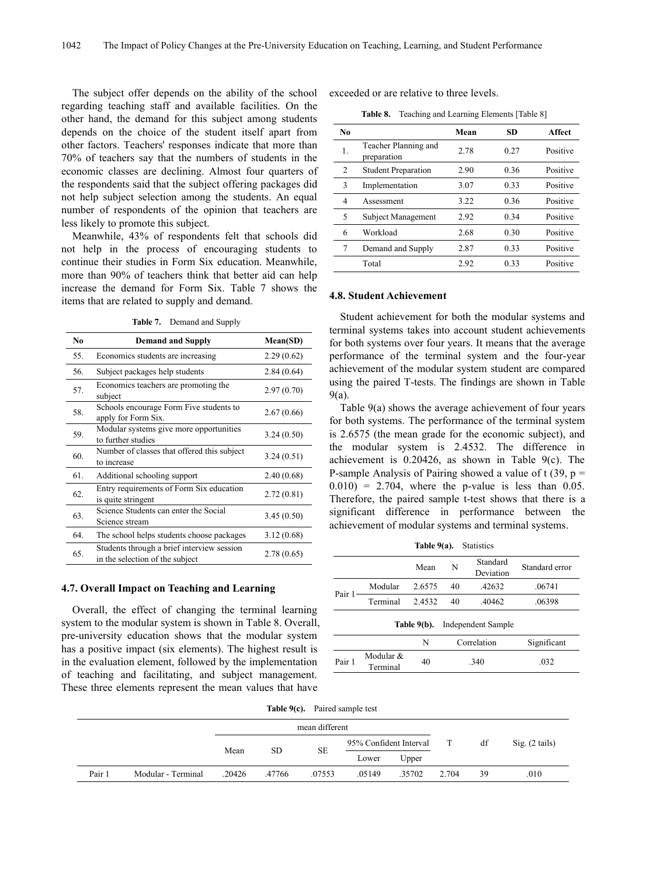The subject offer depends on the ability of the school regarding teaching staff and available facilities. On the other hand, the demand for this subject among students depends on the choice of the student itself apart from other factors. Teachers' responses indicate that more than 70% of teachers say that the numbers of students in the economic classes are declining. Almost four quarters of the respondents said that the subject offering packages did not help subject selection among the students. An equal number of respondents of the opinion that teachers are less likely to promote this subject.

Meanwhile, 43% of respondents felt that schools did not help in the process of encouraging students to continue their studies in Form Six education. Meanwhile, more than 90% of teachers think that better aid can help increase the demand for Form Six. Table 7 shows the items that are related to supply and demand.

**Table 7.** Demand and Supply

| N <sub>0</sub> | <b>Demand and Supply</b>                                                      | Mean(SD)   |
|----------------|-------------------------------------------------------------------------------|------------|
| 55.            | Economics students are increasing                                             | 2.29(0.62) |
| 56.            | Subject packages help students                                                | 2.84(0.64) |
| 57.            | Economics teachers are promoting the<br>subject                               | 2.97(0.70) |
| 58.            | Schools encourage Form Five students to<br>apply for Form Six.                | 2.67(0.66) |
| 59.            | Modular systems give more opportunities<br>to further studies                 | 3.24(0.50) |
| 60.            | Number of classes that offered this subject<br>to increase                    | 3.24(0.51) |
| 61.            | Additional schooling support                                                  | 2.40(0.68) |
| 62.            | Entry requirements of Form Six education<br>is quite stringent                | 2.72(0.81) |
| 63.            | Science Students can enter the Social<br>Science stream                       | 3.45(0.50) |
| 64.            | The school helps students choose packages                                     | 3.12(0.68) |
| 65.            | Students through a brief interview session<br>in the selection of the subject | 2.78(0.65) |
|                |                                                                               |            |

## **4.7. Overall Impact on Teaching and Learning**

Overall, the effect of changing the terminal learning system to the modular system is shown in Table 8. Overall, pre-university education shows that the modular system has a positive impact (six elements). The highest result is in the evaluation element, followed by the implementation of teaching and facilitating, and subject management. These three elements represent the mean values that have

exceeded or are relative to three levels.

**Table 8.** Teaching and Learning Elements [Table 8]

| N <sub>0</sub> |                                     | Mean | <b>SD</b> | Affect   |
|----------------|-------------------------------------|------|-----------|----------|
| 1.             | Teacher Planning and<br>preparation | 2.78 | 0.27      | Positive |
| 2              | <b>Student Preparation</b>          | 2.90 | 0.36      | Positive |
| 3              | Implementation                      | 3.07 | 0.33      | Positive |
| 4              | Assessment                          | 3.22 | 0.36      | Positive |
| 5              | Subject Management                  | 2.92 | 0.34      | Positive |
| 6              | Workload                            | 2.68 | 0.30      | Positive |
| 7              | Demand and Supply                   | 2.87 | 0.33      | Positive |
|                | Total                               | 2.92 | 0.33      | Positive |

#### **4.8. Student Achievement**

No **Demand and Supply Mean(SD)** for both systems over four years. It means that the average 55. Economics students are increasing 2.29 (0.62) performance of the terminal system and the four-year  $2.97(0.70)$   $9(a)$ . Student achievement for both the modular systems and terminal systems takes into account student achievements achievement of the modular system student are compared using the paired T-tests. The findings are shown in Table

to increase  $\frac{3.24(0.51)}{3.24(0.51)}$  achievement is 0.20426, as shown in Table 9(c). The  $2.72(0.81)$  Therefore, the paired sample t-test shows that there is a  $3.45(0.50)$  significant difference in performance between the Table 9(a) shows the average achievement of four years for both systems. The performance of the terminal system is 2.6575 (the mean grade for the economic subject), and the modular system is 2.4532. The difference in P-sample Analysis of Pairing showed a value of  $t$  (39, p =  $0.010$  = 2.704, where the p-value is less than 0.05. achievement of modular systems and terminal systems.

|        |                       | Table $9(a)$ . |      | <b>Statistics</b>     |                |
|--------|-----------------------|----------------|------|-----------------------|----------------|
|        |                       | Mean           | N    | Standard<br>Deviation | Standard error |
| Pair 1 | Modular               | 2.6575         | 40   | .42632                | .06741         |
|        | Terminal              | 2.4532         | 40   | .40462                | .06398         |
|        |                       | Table 9(b).    |      | Independent Sample    |                |
|        |                       | N              |      | Correlation           | Significant    |
| Pair 1 | Modular &<br>Terminal | 40             | .340 |                       | .032           |
|        |                       |                |      |                       |                |

**Table 9(c).** Paired sample test

|        |                    | mean different |           |                        |        |        |       |                |      |
|--------|--------------------|----------------|-----------|------------------------|--------|--------|-------|----------------|------|
|        |                    | Mean           |           | 95% Confident Interval |        |        | df    | Sig. (2 tails) |      |
|        |                    |                | <b>SD</b> | SE                     | Lower  | Upper  |       |                |      |
| Pair 1 | Modular - Terminal | .20426         | .47766    | .07553                 | .05149 | .35702 | 2.704 | 39             | .010 |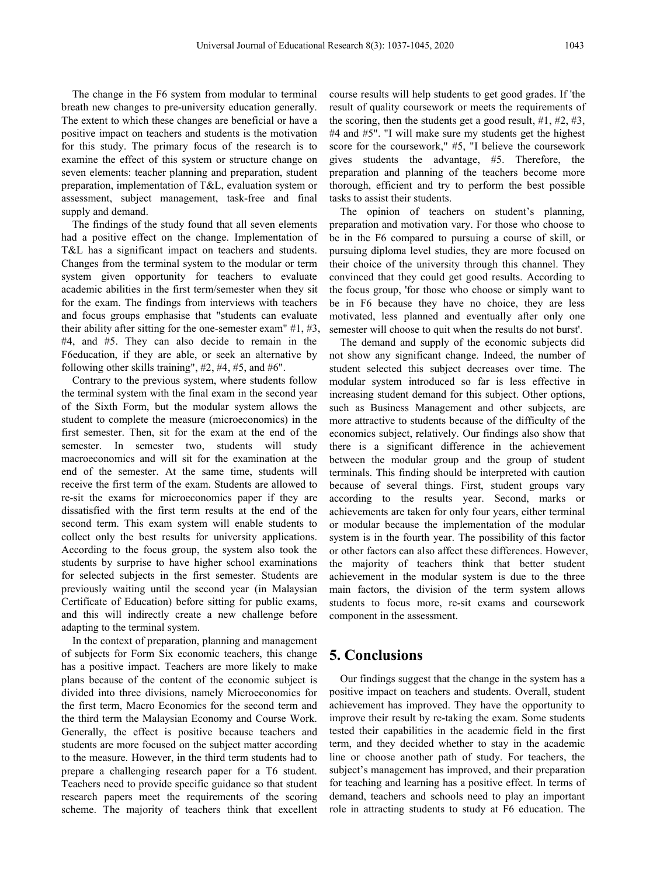The change in the F6 system from modular to terminal breath new changes to pre-university education generally. The extent to which these changes are beneficial or have a positive impact on teachers and students is the motivation for this study. The primary focus of the research is to examine the effect of this system or structure change on seven elements: teacher planning and preparation, student preparation, implementation of T&L, evaluation system or assessment, subject management, task-free and final supply and demand.

The findings of the study found that all seven elements had a positive effect on the change. Implementation of T&L has a significant impact on teachers and students. Changes from the terminal system to the modular or term system given opportunity for teachers to evaluate academic abilities in the first term/semester when they sit for the exam. The findings from interviews with teachers and focus groups emphasise that "students can evaluate their ability after sitting for the one-semester exam"  $#1, #3,$ #4, and #5. They can also decide to remain in the F6education, if they are able, or seek an alternative by following other skills training", #2, #4, #5, and #6".

Contrary to the previous system, where students follow the terminal system with the final exam in the second year of the Sixth Form, but the modular system allows the student to complete the measure (microeconomics) in the first semester. Then, sit for the exam at the end of the semester. In semester two, students will study macroeconomics and will sit for the examination at the end of the semester. At the same time, students will receive the first term of the exam. Students are allowed to re-sit the exams for microeconomics paper if they are dissatisfied with the first term results at the end of the second term. This exam system will enable students to collect only the best results for university applications. According to the focus group, the system also took the students by surprise to have higher school examinations for selected subjects in the first semester. Students are previously waiting until the second year (in Malaysian Certificate of Education) before sitting for public exams, and this will indirectly create a new challenge before adapting to the terminal system.

In the context of preparation, planning and management of subjects for Form Six economic teachers, this change has a positive impact. Teachers are more likely to make plans because of the content of the economic subject is divided into three divisions, namely Microeconomics for the first term, Macro Economics for the second term and the third term the Malaysian Economy and Course Work. Generally, the effect is positive because teachers and students are more focused on the subject matter according to the measure. However, in the third term students had to prepare a challenging research paper for a T6 student. Teachers need to provide specific guidance so that student research papers meet the requirements of the scoring scheme. The majority of teachers think that excellent course results will help students to get good grades. If 'the result of quality coursework or meets the requirements of the scoring, then the students get a good result,  $\#1, \#2, \#3$ , #4 and #5". "I will make sure my students get the highest score for the coursework," #5, "I believe the coursework gives students the advantage, #5. Therefore, the preparation and planning of the teachers become more thorough, efficient and try to perform the best possible tasks to assist their students.

The opinion of teachers on student's planning, preparation and motivation vary. For those who choose to be in the F6 compared to pursuing a course of skill, or pursuing diploma level studies, they are more focused on their choice of the university through this channel. They convinced that they could get good results. According to the focus group, 'for those who choose or simply want to be in F6 because they have no choice, they are less motivated, less planned and eventually after only one semester will choose to quit when the results do not burst'.

The demand and supply of the economic subjects did not show any significant change. Indeed, the number of student selected this subject decreases over time. The modular system introduced so faris less effective in increasing student demand for this subject. Other options, such as Business Management and other subjects, are more attractive to students because of the difficulty of the economics subject, relatively. Our findings also show that there is a significant difference in the achievement between the modular group and the group of student terminals. This finding should be interpreted with caution because of several things. First, student groups vary according to the results year. Second, marks or achievements are taken for only four years, either terminal or modular because the implementation of the modular system is in the fourth year. The possibility of this factor or other factors can also affect these differences. However, the majority of teachers think that better student achievement in the modular system is due to the three main factors, the division of the term system allows students to focus more, re-sit exams and coursework component in the assessment.

# **5. Conclusions**

Our findings suggest that the change in the system has a positive impact on teachers and students. Overall, student achievement has improved. They have the opportunity to improve their result by re-taking the exam. Some students tested their capabilities in the academic field in the first term, and they decided whether to stay in the academic line or choose another path of study. For teachers, the subject's management has improved, and their preparation for teaching and learning has a positive effect. In terms of demand, teachers and schools need to play an important role in attracting students to study at F6 education. The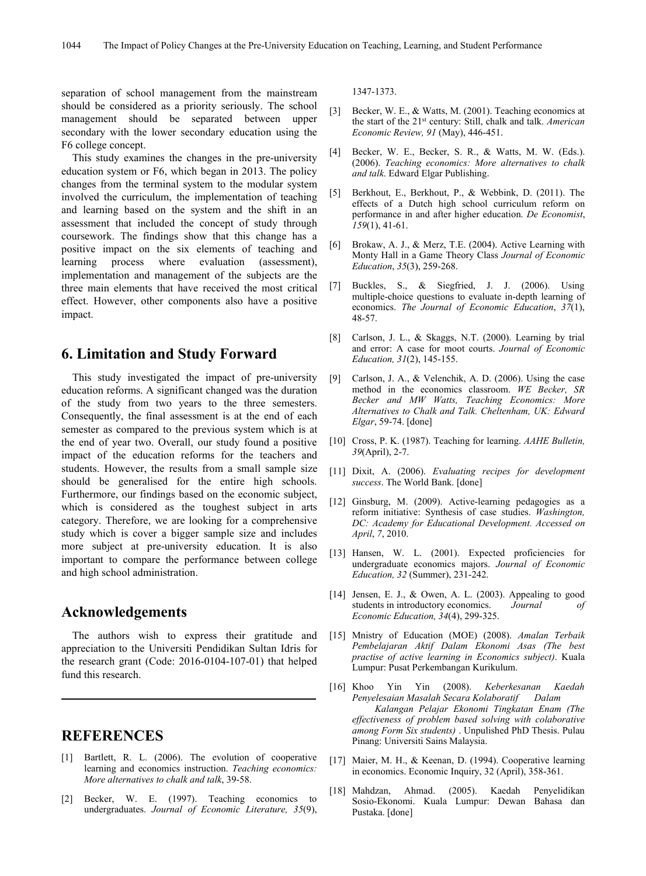separation of school management from the mainstream should be considered as a priority seriously. The school [3] management should be separated between upper secondary with the lower secondary education using the F6 college concept.<br>This study examines the changes in the pre-university [4]

education system or F6,which began in 2013. The policy changes from the terminal system to the modular system<br>involved the curriculum the implementation of teaching  $[5]$ involved the curriculum, the implementation of teaching and learning based on the system and the shift in an assessment that included the concept of study through coursework. The findings show that this change has a<br>positive impact on the six elements of teaching and [6] positive impact on the six elements of teaching and learning process where evaluation (assessment), implementation and management of the subjects are the<br>three main elements that have received the most critical [7] three main elements that have received the most critical effect. However, other components also have a positive impact.

# **6. Limitation and Study Forward**

This study investigated the impact of pre-university [9] education reforms. A significant changed was the duration of the study from two years to the three semesters. Consequently, the final assessment is at the end of each semester as compared to the previous system which is at the end of year two. Overall, our study found a positive impact of the education reforms for the teachers and students. However, the results from a small sample size should be generalised for the entire high schools. Furthermore, our findings based on the economic subject, which is considered as the toughest subject in arts category. Therefore, we are looking for a comprehensive study which is cover a bigger sample size and includes more subject at pre-university education. It is also important to compare the performance between college and high school administration.

# **Acknowledgements**

The authors wish to express their gratitude and appreciation to the Universiti Pendidikan Sultan Idris for the research grant (Code: 2016-0104-107-01) that helped fund this research.

# **REFERENCES**

- <span id="page-7-11"></span>[1] Bartlett, R. L. (2006). The evolution of cooperative learning and economics instruction. *Teaching economics: More alternatives to chalk and talk*,39-58.
- <span id="page-7-5"></span>[2] Becker, W. E. (1997). Teaching economics to undergraduates. *Journal of Economic Literature, 35*(9),

<span id="page-7-6"></span>1347-1373.

- Becker, W. E., & Watts, M. (2001). Teaching economics at the start of the 21 st century: Still, chalk and talk. *American Economic Review, 91* (May), 446-451.
- Becker, W. E., Becker, S. R., & Watts, M. W. (Eds.). (2006). *Teaching economics: More alternatives to chalk and talk*. Edward Elgar Publishing.
- <span id="page-7-15"></span>Berkhout, E., Berkhout, P., & Webbink, D. (2011). The effects of a Dutch high school curriculum reform on performance in and after higher education. *De Economist*, *159*(1), 41-61.
- <span id="page-7-13"></span>Brokaw, A. J., & Merz, T.E. (2004). Active Learning with Monty Hall in a Game Theory Class *Journal of Economic Education*, *35*(3), 259-268.
- <span id="page-7-12"></span>[7] Buckles, S., & Siegfried, J. J. (2006). Using multiple-choice questions to evaluate in-depth learning of economics. *The Journal of Economic Education*, *37*(1), 48-57.
- <span id="page-7-1"></span>[8] Carlson, J. L., & Skaggs, N.T. (2000). Learning by trial and error: A case for moot courts. *Journal of Economic Education, 31*(2), 145-155.
- <span id="page-7-10"></span>Carlson, J. A.,  $\&$  Velenchik, A. D. (2006). Using the case method in the economics classroom. *WE Becker, SR Becker and MW Watts, Teaching Economics: More Alternatives to Chalk and Talk. Cheltenham, UK: Edward Elgar*, 59-74. [done]
- <span id="page-7-9"></span>[10] Cross, P. K. (1987). Teaching for learning. *AAHE Bulletin, 39*(April), 2-7.
- <span id="page-7-14"></span>[11] Dixit, A. (2006). *Evaluating recipes for development success*. The World Bank. [done]
- <span id="page-7-2"></span>[12] Ginsburg, M. (2009). Active-learning pedagogies as a reform initiative: Synthesis of case studies. *Washington, DC: Academy for Educational Development. Accessed on April*, *7*, 2010.
- <span id="page-7-7"></span>[13] Hansen, W. L. (2001). Expected proficiencies for undergraduate economics majors. *Journal of Economic Education, 32* (Summer), 231-242.
- <span id="page-7-3"></span>[14] Jensen, E. J., & Owen, A. L. (2003). Appealing to good students in introductory economics.*Journal of Economic Education, 34*(4), 299-325.
- <span id="page-7-0"></span>[15] Mnistry of Education (MOE) (2008). *Amalan Terbaik Pembelajaran Aktif Dalam Ekonomi Asas (The best practise of active learning in Economics subject)*. Kuala Lumpur: Pusat Perkembangan Kurikulum.
- <span id="page-7-8"></span>[16] Khoo Yin Yin (2008). *Keberkesanan Kaedah Penyelesaian Masalah Secara Kolaboratif Dalam Kalangan Pelajar Ekonomi Tingkatan Enam (The ef ectiveness of problem based solving with colaborative among Form Six students)* . Unpulished PhD Thesis. Pulau Pinang: Universiti Sains Malaysia.
- <span id="page-7-4"></span>[17] Maier, M. H., & Keenan, D. (1994). Cooperative learning in economics.Economic Inquiry, 32 (April), 358-361.
- Mahdzan, Ahmad. (2005). Kaedah Penyelidikan Sosio-Ekonomi. Kuala Lumpur: Dewan Bahasa dan Pustaka. [done]